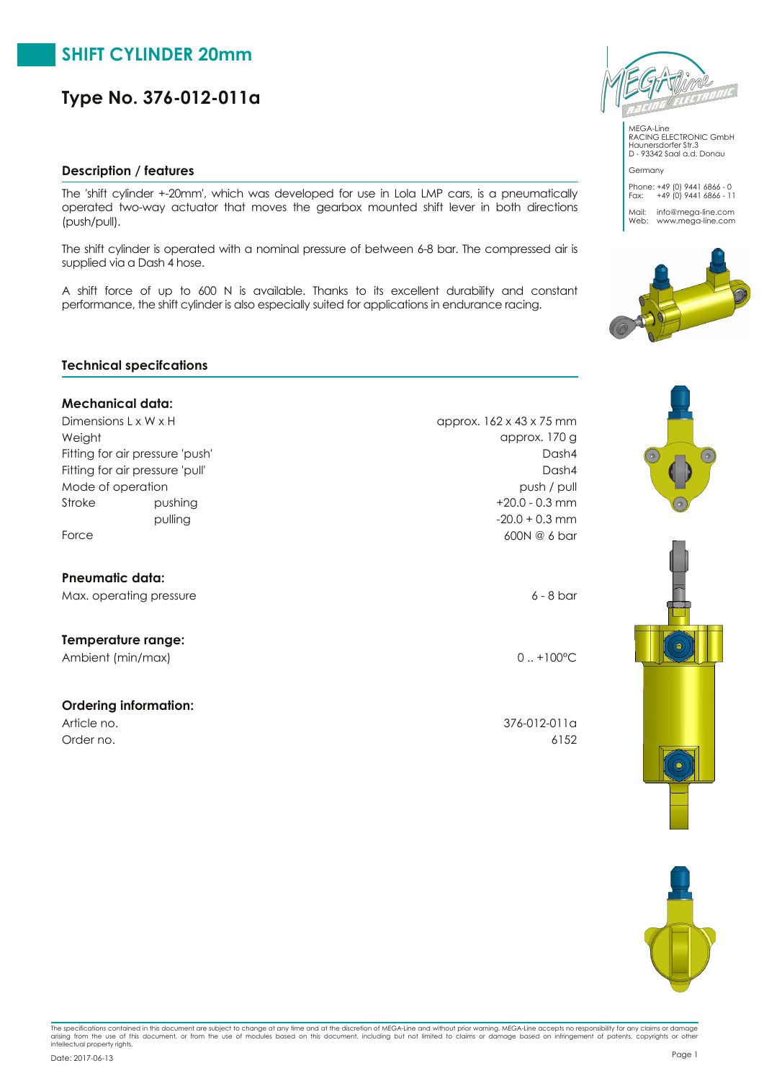### **Description / features**

The 'shift cylinder +20mm', which was developed for use in Lola LMP cars, is a pneumatically operated twoway actuator that moves the gearbox mounted shift lever in both directions (push/pull).

The shift cylinder is operated with a nominal pressure of between 68 bar. The compressed air is supplied via a Dash 4 hose.

A shift force of up to 600 N is available. Thanks to its excellent durability and constant performance, the shift cylinder is also especially suited for applications in endurance racing.

#### **Technical specifcations**

#### **Mechanical data:**

Dimensions L x W x H approx. 162 x 43 x 75 mm Fitting for air pressure 'pull' Fitting for air pressure 'push' Mode of operation **push / pulled**  $\sim$  **push / pulled**  $\sim$  **push / pulled**  $\sim$  **push / pulled**  $\sim$  **push / pulled**  $\sim$  **push / pulled**  $\sim$  **push / pulled**  $\sim$  **push / pulled**  $\sim$  **push / pulled**  $\sim$  **push / pulled** Weight approx. 170 g Stroke pushing pushing the pushing the stroke that the stroke that the pushing the stroke that the stroke that the stroke that the stroke that the stroke that the stroke that the stroke that the stroke that the stroke that

#### **Pneumatic data:**

Max. operating pressure 6 and the state of the state of the state of the state of the state of the state of the state of the state of the state of the state of the state of the state of the state of the state of the state

### **Temperature range:**

Ambient (min/max) 0... +100°C

#### **Ordering information:**

Dash4 Dash4 pulling 20.0 + 0.3 mm Force 600N @ 6 bar

Article no. 376-012-011a Order no. 6152



Haunersdorfer Str.3 D 93342 Saal a.d. Donau

Germany

Phone: +49 (0) 9441 6866 0 Fax: +49 (0) 9441 6866 11 Mail: info@mega-line.com<br>Web: www.mega-line.com







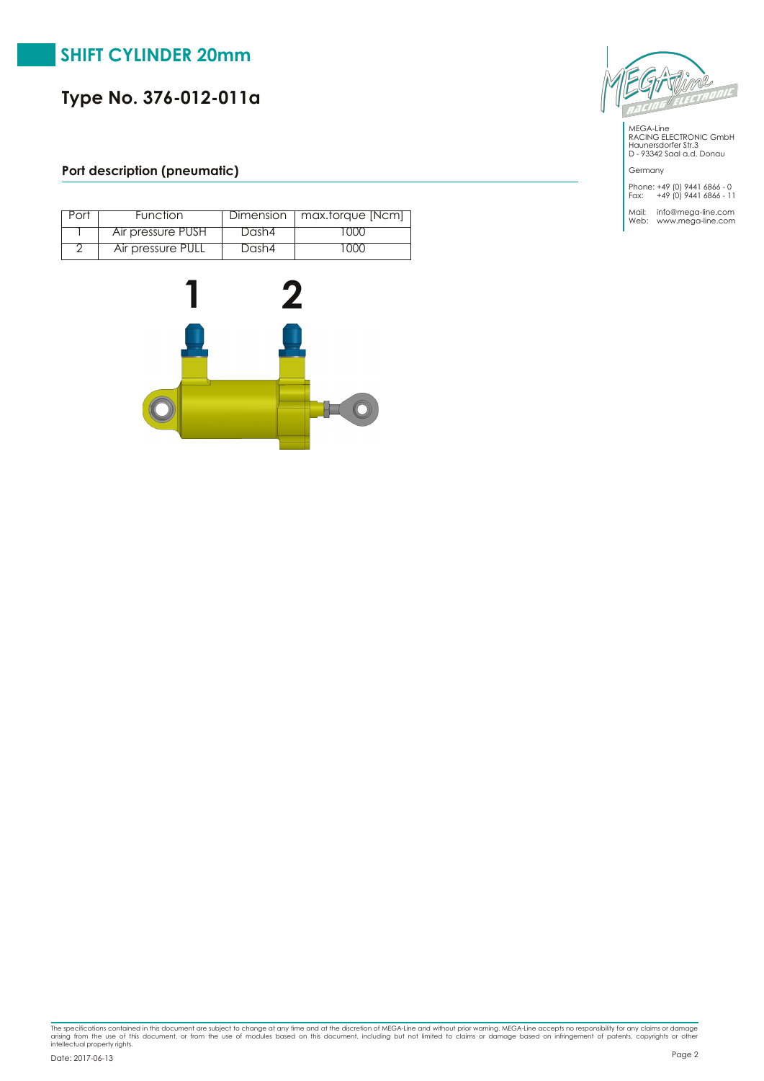## **Port description (pneumatic)**

| Port | Function          |       | Dimension   max.torque [Ncm] |
|------|-------------------|-------|------------------------------|
|      | Air pressure PUSH | Dash4 | ' 000                        |
|      | Air pressure PULL | Dash4 | $\cdot$ ( )( )( )            |





MEGALine RACING ELECTRONIC GmbH Haunersdorfer Str.3 D 93342 Saal a.d. Donau

Germany

Phone: +49 (0) 9441 6866 0 Fax: +49 (0) 9441 6866 11

Mail: info@mega-line.com<br>Web: www.mega-line.com

The specifications contained in this document are subject to change at any time and at the discretion of MEGA-Line and without prior warning. MEGA-Line accepts no responsibility for any claims or damage<br>arising from the us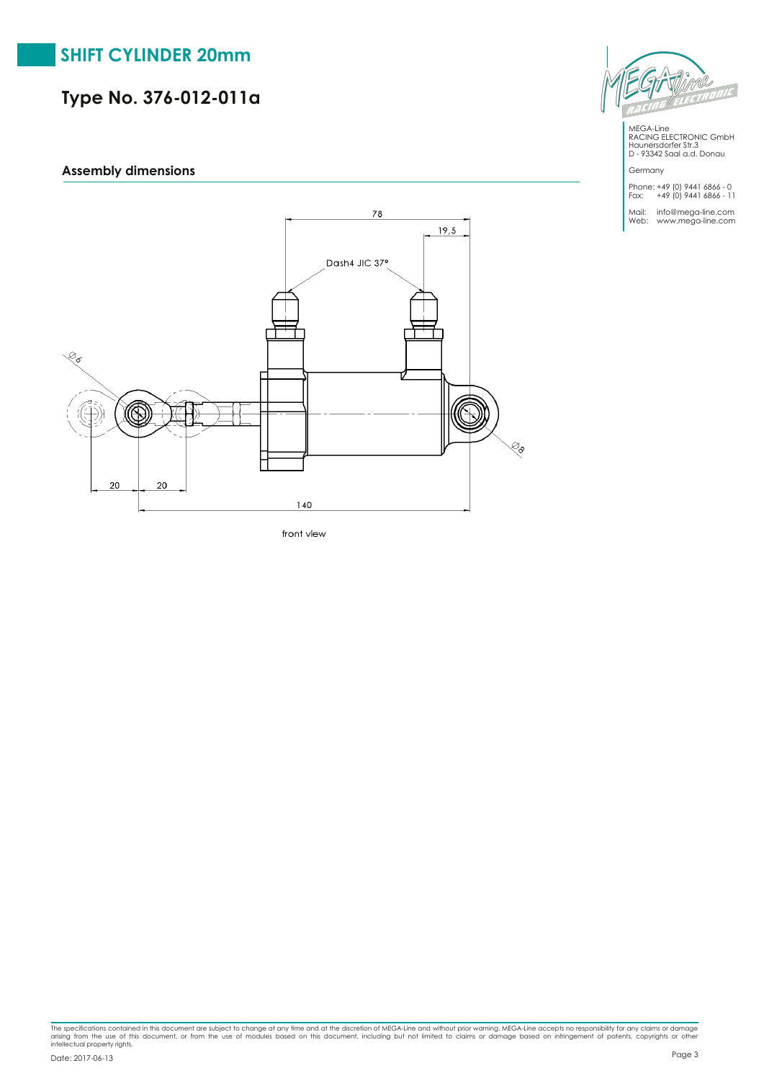**Assembly dimensions**



front view



MEGALine RACING ELECTRONIC GmbH Haunersdorfer Str.3 D 93342 Saal a.d. Donau

Germany

Phone: +49 (0) 9441 6866 0 Fax: +49 (0) 9441 6866 11

Mail: info@mega-line.com<br>Web: www.mega-line.com

The specifications contained in this document are subject to change at any time and at the discretion of MEGA-Line and without prior warning. MEGA-Line accepts no responsibility for any claims or damage<br>arising from the us